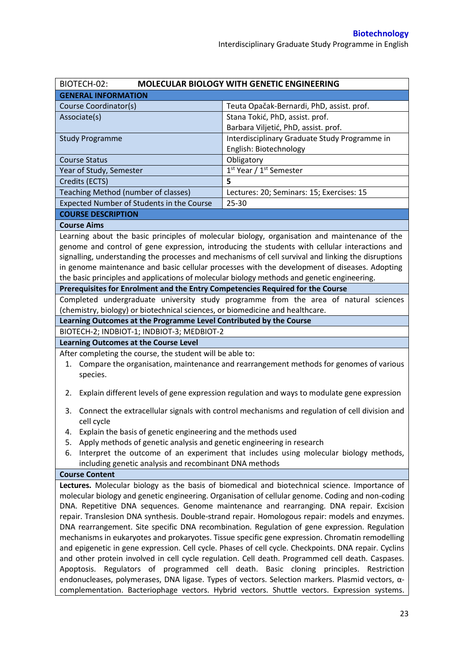| BIOTECH-02:                                                                                                                                           | <b>MOLECULAR BIOLOGY WITH GENETIC ENGINEERING</b>                                                   |  |  |  |
|-------------------------------------------------------------------------------------------------------------------------------------------------------|-----------------------------------------------------------------------------------------------------|--|--|--|
| <b>GENERAL INFORMATION</b>                                                                                                                            |                                                                                                     |  |  |  |
| Course Coordinator(s)                                                                                                                                 | Teuta Opačak-Bernardi, PhD, assist. prof.                                                           |  |  |  |
| Associate(s)                                                                                                                                          | Stana Tokić, PhD, assist. prof.                                                                     |  |  |  |
|                                                                                                                                                       | Barbara Viljetić, PhD, assist. prof.                                                                |  |  |  |
| <b>Study Programme</b>                                                                                                                                | Interdisciplinary Graduate Study Programme in                                                       |  |  |  |
|                                                                                                                                                       | English: Biotechnology                                                                              |  |  |  |
| <b>Course Status</b>                                                                                                                                  | Obligatory                                                                                          |  |  |  |
| Year of Study, Semester                                                                                                                               | 1 <sup>st</sup> Year / 1 <sup>st</sup> Semester                                                     |  |  |  |
| Credits (ECTS)                                                                                                                                        | 5                                                                                                   |  |  |  |
| Teaching Method (number of classes)                                                                                                                   | Lectures: 20; Seminars: 15; Exercises: 15                                                           |  |  |  |
| Expected Number of Students in the Course                                                                                                             | 25-30                                                                                               |  |  |  |
| <b>COURSE DESCRIPTION</b>                                                                                                                             |                                                                                                     |  |  |  |
| <b>Course Aims</b>                                                                                                                                    |                                                                                                     |  |  |  |
|                                                                                                                                                       | Learning about the basic principles of molecular biology, organisation and maintenance of the       |  |  |  |
|                                                                                                                                                       | genome and control of gene expression, introducing the students with cellular interactions and      |  |  |  |
|                                                                                                                                                       | signalling, understanding the processes and mechanisms of cell survival and linking the disruptions |  |  |  |
|                                                                                                                                                       | in genome maintenance and basic cellular processes with the development of diseases. Adopting       |  |  |  |
| the basic principles and applications of molecular biology methods and genetic engineering.                                                           |                                                                                                     |  |  |  |
| Prerequisites for Enrolment and the Entry Competencies Required for the Course                                                                        |                                                                                                     |  |  |  |
|                                                                                                                                                       | Completed undergraduate university study programme from the area of natural sciences                |  |  |  |
| (chemistry, biology) or biotechnical sciences, or biomedicine and healthcare.                                                                         |                                                                                                     |  |  |  |
| Learning Outcomes at the Programme Level Contributed by the Course                                                                                    |                                                                                                     |  |  |  |
| BIOTECH-2; INDBIOT-1; INDBIOT-3; MEDBIOT-2                                                                                                            |                                                                                                     |  |  |  |
| <b>Learning Outcomes at the Course Level</b>                                                                                                          |                                                                                                     |  |  |  |
| After completing the course, the student will be able to:                                                                                             |                                                                                                     |  |  |  |
| 1.                                                                                                                                                    | Compare the organisation, maintenance and rearrangement methods for genomes of various              |  |  |  |
| species.                                                                                                                                              |                                                                                                     |  |  |  |
|                                                                                                                                                       |                                                                                                     |  |  |  |
| 2.                                                                                                                                                    | Explain different levels of gene expression regulation and ways to modulate gene expression         |  |  |  |
| Connect the extracellular signals with control mechanisms and regulation of cell division and<br>3.                                                   |                                                                                                     |  |  |  |
| cell cycle                                                                                                                                            |                                                                                                     |  |  |  |
|                                                                                                                                                       |                                                                                                     |  |  |  |
| Explain the basis of genetic engineering and the methods used<br>4.<br>Apply methods of genetic analysis and genetic engineering in research<br>5.    |                                                                                                     |  |  |  |
|                                                                                                                                                       |                                                                                                     |  |  |  |
| Interpret the outcome of an experiment that includes using molecular biology methods,<br>6.<br>including genetic analysis and recombinant DNA methods |                                                                                                     |  |  |  |
| <b>Course Content</b>                                                                                                                                 |                                                                                                     |  |  |  |
|                                                                                                                                                       | Lectures. Molecular biology as the basis of biomedical and biotechnical science. Importance of      |  |  |  |
| molecular biology and genetic engineering. Organisation of cellular genome. Coding and non-coding                                                     |                                                                                                     |  |  |  |
| DNA. Repetitive DNA sequences. Genome maintenance and rearranging. DNA repair. Excision                                                               |                                                                                                     |  |  |  |
| repair. Translesion DNA synthesis. Double-strand repair. Homologous repair: models and enzymes.                                                       |                                                                                                     |  |  |  |
| DNA rearrangement. Site specific DNA recombination. Regulation of gene expression. Regulation                                                         |                                                                                                     |  |  |  |
| mechanisms in eukaryotes and prokaryotes. Tissue specific gene expression. Chromatin remodelling                                                      |                                                                                                     |  |  |  |
| and epigenetic in gene expression. Cell cycle. Phases of cell cycle. Checkpoints. DNA repair. Cyclins                                                 |                                                                                                     |  |  |  |
| and other protein involved in cell cycle regulation. Cell death. Programmed cell death. Caspases.                                                     |                                                                                                     |  |  |  |
| Apoptosis. Regulators of programmed cell death. Basic cloning principles. Restriction                                                                 |                                                                                                     |  |  |  |
|                                                                                                                                                       | endonucleases, polymerases, DNA ligase. Types of vectors. Selection markers. Plasmid vectors, a-    |  |  |  |
|                                                                                                                                                       |                                                                                                     |  |  |  |
| complementation. Bacteriophage vectors. Hybrid vectors. Shuttle vectors. Expression systems.                                                          |                                                                                                     |  |  |  |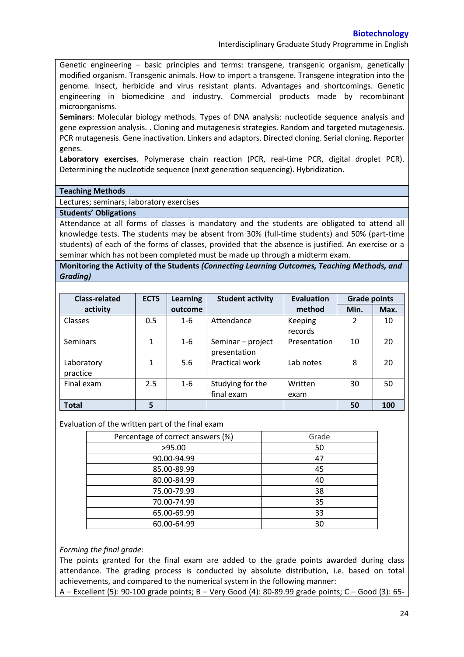Interdisciplinary Graduate Study Programme in English

Genetic engineering – basic principles and terms: transgene, transgenic organism, genetically modified organism. Transgenic animals. How to import a transgene. Transgene integration into the genome. Insect, herbicide and virus resistant plants. Advantages and shortcomings. Genetic engineering in biomedicine and industry. Commercial products made by recombinant microorganisms.

**Seminars**: Molecular biology methods. Types of DNA analysis: nucleotide sequence analysis and gene expression analysis. . Cloning and mutagenesis strategies. Random and targeted mutagenesis. PCR mutagenesis. Gene inactivation. Linkers and adaptors. Directed cloning. Serial cloning. Reporter genes.

**Laboratory exercises**. Polymerase chain reaction (PCR, real-time PCR, digital droplet PCR). Determining the nucleotide sequence (next generation sequencing). Hybridization.

#### **Teaching Methods**

Lectures; seminars; laboratory exercises

# **Students' Obligations**

Attendance at all forms of classes is mandatory and the students are obligated to attend all knowledge tests. The students may be absent from 30% (full-time students) and 50% (part-time students) of each of the forms of classes, provided that the absence is justified. An exercise or a seminar which has not been completed must be made up through a midterm exam.

# **Monitoring the Activity of the Students** *(Connecting Learning Outcomes, Teaching Methods, and Grading)*

| <b>Class-related</b>   | <b>ECTS</b>  | <b>Learning</b> | <b>Student activity</b>           | Evaluation         | <b>Grade points</b> |      |
|------------------------|--------------|-----------------|-----------------------------------|--------------------|---------------------|------|
| activity               |              | outcome         |                                   | method             | Min.                | Max. |
| Classes                | 0.5          | $1 - 6$         | Attendance                        | Keeping<br>records | 2                   | 10   |
| <b>Seminars</b>        | $\mathbf{1}$ | $1 - 6$         | Seminar - project<br>presentation | Presentation       | 10                  | 20   |
| Laboratory<br>practice | $\mathbf{1}$ | 5.6             | <b>Practical work</b>             | Lab notes          | 8                   | 20   |
| Final exam             | 2.5          | $1 - 6$         | Studying for the                  | Written            | 30                  | 50   |
|                        |              |                 | final exam                        | exam               |                     |      |
| <b>Total</b>           | 5            |                 |                                   |                    | 50                  | 100  |

### Evaluation of the written part of the final exam

| Percentage of correct answers (%) | Grade |
|-----------------------------------|-------|
| >95.00                            | 50    |
| 90.00-94.99                       | 47    |
| 85.00-89.99                       | 45    |
| 80.00-84.99                       | 40    |
| 75.00-79.99                       | 38    |
| 70.00-74.99                       | 35    |
| 65.00-69.99                       | 33    |
| 60.00-64.99                       | 30    |

### *Forming the final grade:*

The points granted for the final exam are added to the grade points awarded during class attendance. The grading process is conducted by absolute distribution, i.e. based on total achievements, and compared to the numerical system in the following manner:

A – Excellent (5): 90-100 grade points; B – Very Good (4): 80-89.99 grade points; C – Good (3): 65-